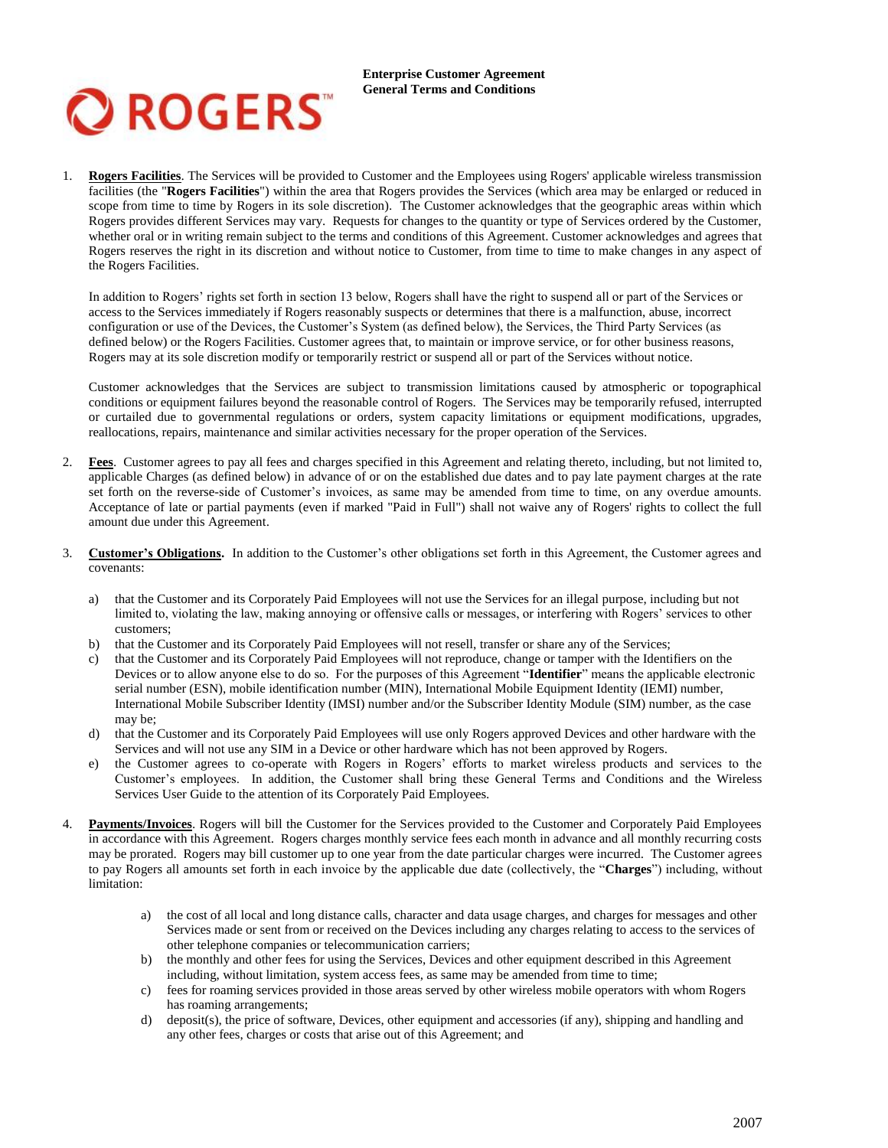

1. **Rogers Facilities**. The Services will be provided to Customer and the Employees using Rogers' applicable wireless transmission facilities (the "**Rogers Facilities**") within the area that Rogers provides the Services (which area may be enlarged or reduced in scope from time to time by Rogers in its sole discretion). The Customer acknowledges that the geographic areas within which Rogers provides different Services may vary. Requests for changes to the quantity or type of Services ordered by the Customer, whether oral or in writing remain subject to the terms and conditions of this Agreement. Customer acknowledges and agrees that Rogers reserves the right in its discretion and without notice to Customer, from time to time to make changes in any aspect of the Rogers Facilities.

In addition to Rogers' rights set forth in section 13 below, Rogers shall have the right to suspend all or part of the Services or access to the Services immediately if Rogers reasonably suspects or determines that there is a malfunction, abuse, incorrect configuration or use of the Devices, the Customer's System (as defined below), the Services, the Third Party Services (as defined below) or the Rogers Facilities. Customer agrees that, to maintain or improve service, or for other business reasons, Rogers may at its sole discretion modify or temporarily restrict or suspend all or part of the Services without notice.

Customer acknowledges that the Services are subject to transmission limitations caused by atmospheric or topographical conditions or equipment failures beyond the reasonable control of Rogers. The Services may be temporarily refused, interrupted or curtailed due to governmental regulations or orders, system capacity limitations or equipment modifications, upgrades, reallocations, repairs, maintenance and similar activities necessary for the proper operation of the Services.

- 2. **Fees**. Customer agrees to pay all fees and charges specified in this Agreement and relating thereto, including, but not limited to, applicable Charges (as defined below) in advance of or on the established due dates and to pay late payment charges at the rate set forth on the reverse-side of Customer's invoices, as same may be amended from time to time, on any overdue amounts. Acceptance of late or partial payments (even if marked "Paid in Full") shall not waive any of Rogers' rights to collect the full amount due under this Agreement.
- 3. **Customer's Obligations.** In addition to the Customer's other obligations set forth in this Agreement, the Customer agrees and covenants:
	- a) that the Customer and its Corporately Paid Employees will not use the Services for an illegal purpose, including but not limited to, violating the law, making annoying or offensive calls or messages, or interfering with Rogers' services to other customers;
	- b) that the Customer and its Corporately Paid Employees will not resell, transfer or share any of the Services;
	- c) that the Customer and its Corporately Paid Employees will not reproduce, change or tamper with the Identifiers on the Devices or to allow anyone else to do so. For the purposes of this Agreement "**Identifier**" means the applicable electronic serial number (ESN), mobile identification number (MIN), International Mobile Equipment Identity (IEMI) number, International Mobile Subscriber Identity (IMSI) number and/or the Subscriber Identity Module (SIM) number, as the case may be;
	- d) that the Customer and its Corporately Paid Employees will use only Rogers approved Devices and other hardware with the Services and will not use any SIM in a Device or other hardware which has not been approved by Rogers.
	- e) the Customer agrees to co-operate with Rogers in Rogers' efforts to market wireless products and services to the Customer's employees. In addition, the Customer shall bring these General Terms and Conditions and the Wireless Services User Guide to the attention of its Corporately Paid Employees.
- 4. **Payments/Invoices**. Rogers will bill the Customer for the Services provided to the Customer and Corporately Paid Employees in accordance with this Agreement. Rogers charges monthly service fees each month in advance and all monthly recurring costs may be prorated. Rogers may bill customer up to one year from the date particular charges were incurred. The Customer agrees to pay Rogers all amounts set forth in each invoice by the applicable due date (collectively, the "**Charges**") including, without limitation:
	- a) the cost of all local and long distance calls, character and data usage charges, and charges for messages and other Services made or sent from or received on the Devices including any charges relating to access to the services of other telephone companies or telecommunication carriers;
	- b) the monthly and other fees for using the Services, Devices and other equipment described in this Agreement including, without limitation, system access fees, as same may be amended from time to time;
	- c) fees for roaming services provided in those areas served by other wireless mobile operators with whom Rogers has roaming arrangements;
	- d) deposit(s), the price of software, Devices, other equipment and accessories (if any), shipping and handling and any other fees, charges or costs that arise out of this Agreement; and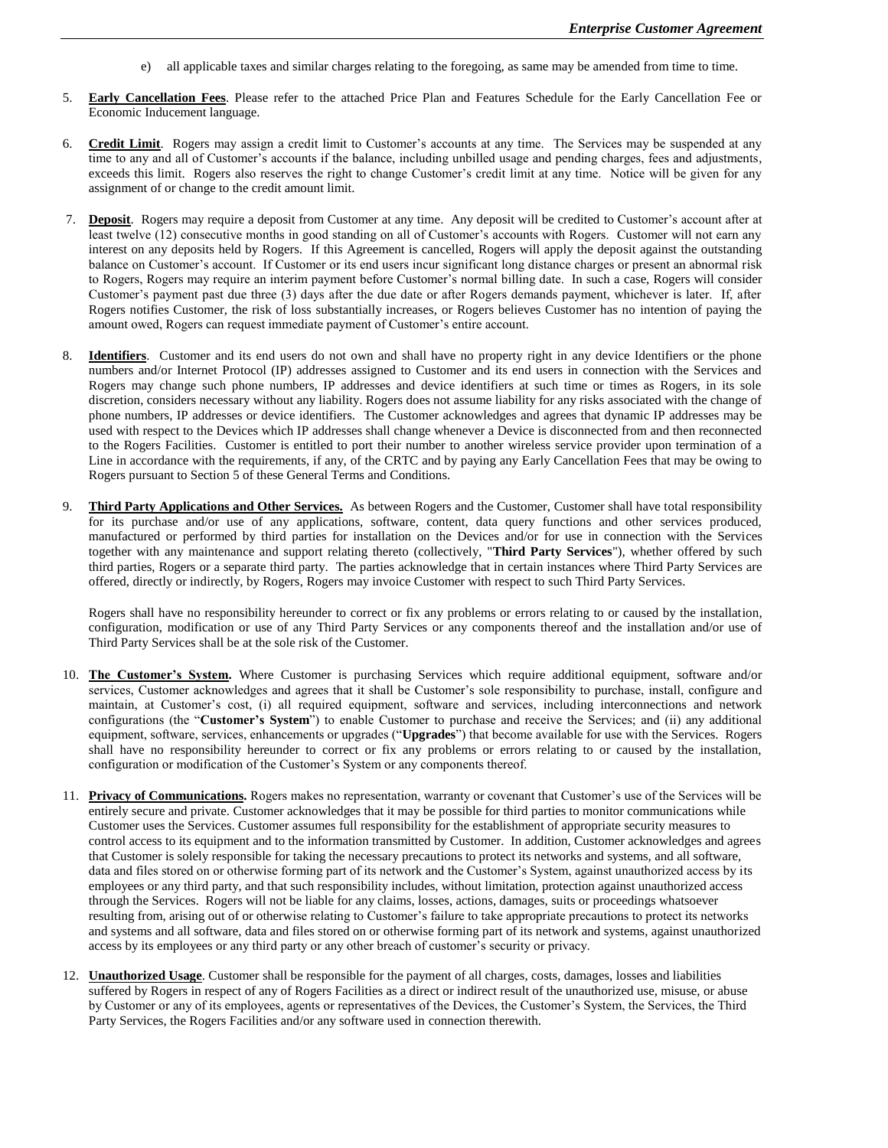- e) all applicable taxes and similar charges relating to the foregoing, as same may be amended from time to time.
- 5. **Early Cancellation Fees**. Please refer to the attached Price Plan and Features Schedule for the Early Cancellation Fee or Economic Inducement language.
- 6. **Credit Limit**. Rogers may assign a credit limit to Customer's accounts at any time. The Services may be suspended at any time to any and all of Customer's accounts if the balance, including unbilled usage and pending charges, fees and adjustments, exceeds this limit. Rogers also reserves the right to change Customer's credit limit at any time. Notice will be given for any assignment of or change to the credit amount limit.
- 7. **Deposit**. Rogers may require a deposit from Customer at any time. Any deposit will be credited to Customer's account after at least twelve (12) consecutive months in good standing on all of Customer's accounts with Rogers. Customer will not earn any interest on any deposits held by Rogers. If this Agreement is cancelled, Rogers will apply the deposit against the outstanding balance on Customer's account. If Customer or its end users incur significant long distance charges or present an abnormal risk to Rogers, Rogers may require an interim payment before Customer's normal billing date. In such a case, Rogers will consider Customer's payment past due three (3) days after the due date or after Rogers demands payment, whichever is later. If, after Rogers notifies Customer, the risk of loss substantially increases, or Rogers believes Customer has no intention of paying the amount owed, Rogers can request immediate payment of Customer's entire account.
- 8. **Identifiers**.Customer and its end users do not own and shall have no property right in any device Identifiers or the phone numbers and/or Internet Protocol (IP) addresses assigned to Customer and its end users in connection with the Services and Rogers may change such phone numbers, IP addresses and device identifiers at such time or times as Rogers, in its sole discretion, considers necessary without any liability. Rogers does not assume liability for any risks associated with the change of phone numbers, IP addresses or device identifiers. The Customer acknowledges and agrees that dynamic IP addresses may be used with respect to the Devices which IP addresses shall change whenever a Device is disconnected from and then reconnected to the Rogers Facilities. Customer is entitled to port their number to another wireless service provider upon termination of a Line in accordance with the requirements, if any, of the CRTC and by paying any Early Cancellation Fees that may be owing to Rogers pursuant to Section 5 of these General Terms and Conditions.
- 9. **Third Party Applications and Other Services.** As between Rogers and the Customer, Customer shall have total responsibility for its purchase and/or use of any applications, software, content, data query functions and other services produced, manufactured or performed by third parties for installation on the Devices and/or for use in connection with the Services together with any maintenance and support relating thereto (collectively, "**Third Party Services**"), whether offered by such third parties, Rogers or a separate third party. The parties acknowledge that in certain instances where Third Party Services are offered, directly or indirectly, by Rogers, Rogers may invoice Customer with respect to such Third Party Services.

Rogers shall have no responsibility hereunder to correct or fix any problems or errors relating to or caused by the installation, configuration, modification or use of any Third Party Services or any components thereof and the installation and/or use of Third Party Services shall be at the sole risk of the Customer.

- 10. **The Customer's System.** Where Customer is purchasing Services which require additional equipment, software and/or services, Customer acknowledges and agrees that it shall be Customer's sole responsibility to purchase, install, configure and maintain, at Customer's cost, (i) all required equipment, software and services, including interconnections and network configurations (the "**Customer's System**") to enable Customer to purchase and receive the Services; and (ii) any additional equipment, software, services, enhancements or upgrades ("**Upgrades**") that become available for use with the Services. Rogers shall have no responsibility hereunder to correct or fix any problems or errors relating to or caused by the installation, configuration or modification of the Customer's System or any components thereof.
- 11. **Privacy of Communications.** Rogers makes no representation, warranty or covenant that Customer's use of the Services will be entirely secure and private. Customer acknowledges that it may be possible for third parties to monitor communications while Customer uses the Services. Customer assumes full responsibility for the establishment of appropriate security measures to control access to its equipment and to the information transmitted by Customer. In addition, Customer acknowledges and agrees that Customer is solely responsible for taking the necessary precautions to protect its networks and systems, and all software, data and files stored on or otherwise forming part of its network and the Customer's System, against unauthorized access by its employees or any third party, and that such responsibility includes, without limitation, protection against unauthorized access through the Services. Rogers will not be liable for any claims, losses, actions, damages, suits or proceedings whatsoever resulting from, arising out of or otherwise relating to Customer's failure to take appropriate precautions to protect its networks and systems and all software, data and files stored on or otherwise forming part of its network and systems, against unauthorized access by its employees or any third party or any other breach of customer's security or privacy.
- 12. **Unauthorized Usage**. Customer shall be responsible for the payment of all charges, costs, damages, losses and liabilities suffered by Rogers in respect of any of Rogers Facilities as a direct or indirect result of the unauthorized use, misuse, or abuse by Customer or any of its employees, agents or representatives of the Devices, the Customer's System, the Services, the Third Party Services, the Rogers Facilities and/or any software used in connection therewith.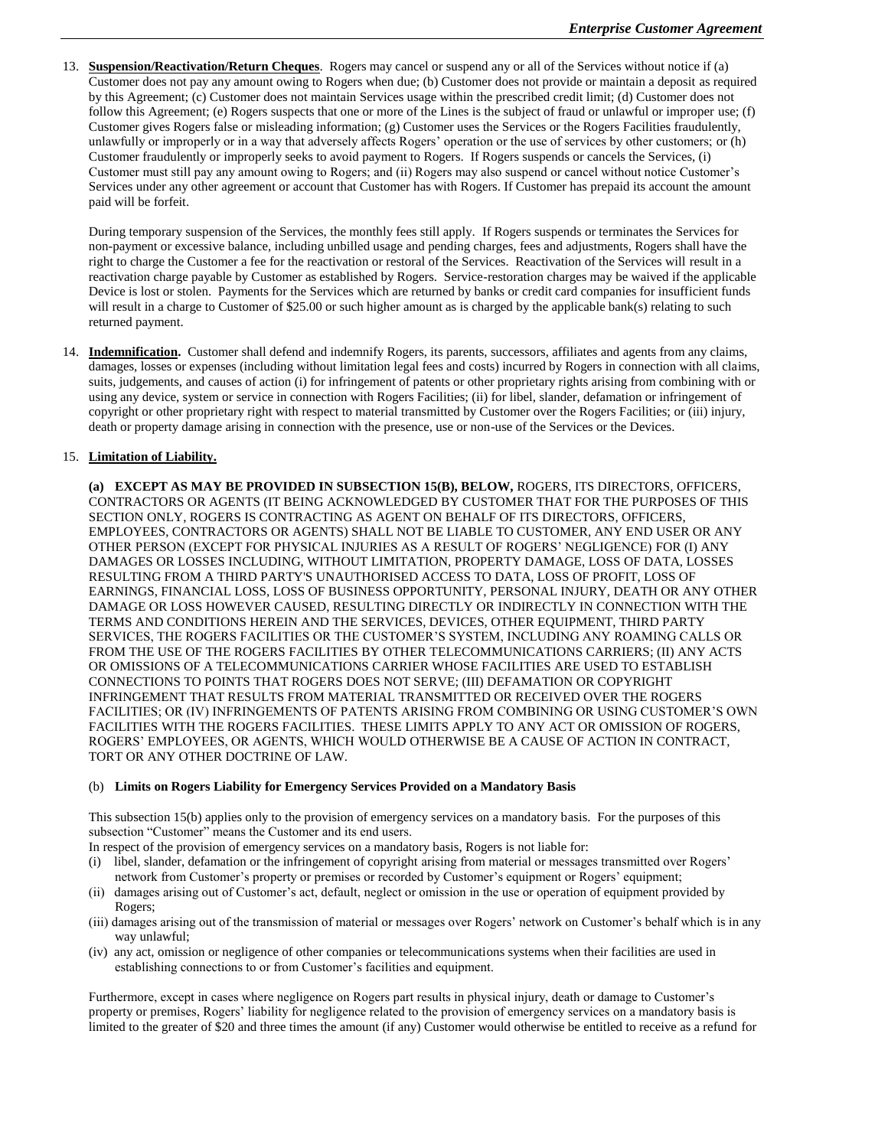13. **Suspension/Reactivation/Return Cheques**. Rogers may cancel or suspend any or all of the Services without notice if (a) Customer does not pay any amount owing to Rogers when due; (b) Customer does not provide or maintain a deposit as required by this Agreement; (c) Customer does not maintain Services usage within the prescribed credit limit; (d) Customer does not follow this Agreement; (e) Rogers suspects that one or more of the Lines is the subject of fraud or unlawful or improper use; (f) Customer gives Rogers false or misleading information; (g) Customer uses the Services or the Rogers Facilities fraudulently, unlawfully or improperly or in a way that adversely affects Rogers' operation or the use of services by other customers; or (h) Customer fraudulently or improperly seeks to avoid payment to Rogers. If Rogers suspends or cancels the Services, (i) Customer must still pay any amount owing to Rogers; and (ii) Rogers may also suspend or cancel without notice Customer's Services under any other agreement or account that Customer has with Rogers. If Customer has prepaid its account the amount paid will be forfeit.

During temporary suspension of the Services, the monthly fees still apply. If Rogers suspends or terminates the Services for non-payment or excessive balance, including unbilled usage and pending charges, fees and adjustments, Rogers shall have the right to charge the Customer a fee for the reactivation or restoral of the Services. Reactivation of the Services will result in a reactivation charge payable by Customer as established by Rogers. Service-restoration charges may be waived if the applicable Device is lost or stolen. Payments for the Services which are returned by banks or credit card companies for insufficient funds will result in a charge to Customer of \$25.00 or such higher amount as is charged by the applicable bank(s) relating to such returned payment.

14. **Indemnification.** Customer shall defend and indemnify Rogers, its parents, successors, affiliates and agents from any claims, damages, losses or expenses (including without limitation legal fees and costs) incurred by Rogers in connection with all claims, suits, judgements, and causes of action (i) for infringement of patents or other proprietary rights arising from combining with or using any device, system or service in connection with Rogers Facilities; (ii) for libel, slander, defamation or infringement of copyright or other proprietary right with respect to material transmitted by Customer over the Rogers Facilities; or (iii) injury, death or property damage arising in connection with the presence, use or non-use of the Services or the Devices.

## 15. **Limitation of Liability.**

**(a) EXCEPT AS MAY BE PROVIDED IN SUBSECTION 15(B), BELOW,** ROGERS, ITS DIRECTORS, OFFICERS, CONTRACTORS OR AGENTS (IT BEING ACKNOWLEDGED BY CUSTOMER THAT FOR THE PURPOSES OF THIS SECTION ONLY, ROGERS IS CONTRACTING AS AGENT ON BEHALF OF ITS DIRECTORS, OFFICERS, EMPLOYEES, CONTRACTORS OR AGENTS) SHALL NOT BE LIABLE TO CUSTOMER, ANY END USER OR ANY OTHER PERSON (EXCEPT FOR PHYSICAL INJURIES AS A RESULT OF ROGERS' NEGLIGENCE) FOR (I) ANY DAMAGES OR LOSSES INCLUDING, WITHOUT LIMITATION, PROPERTY DAMAGE, LOSS OF DATA, LOSSES RESULTING FROM A THIRD PARTY'S UNAUTHORISED ACCESS TO DATA, LOSS OF PROFIT, LOSS OF EARNINGS, FINANCIAL LOSS, LOSS OF BUSINESS OPPORTUNITY, PERSONAL INJURY, DEATH OR ANY OTHER DAMAGE OR LOSS HOWEVER CAUSED, RESULTING DIRECTLY OR INDIRECTLY IN CONNECTION WITH THE TERMS AND CONDITIONS HEREIN AND THE SERVICES, DEVICES, OTHER EQUIPMENT, THIRD PARTY SERVICES, THE ROGERS FACILITIES OR THE CUSTOMER'S SYSTEM, INCLUDING ANY ROAMING CALLS OR FROM THE USE OF THE ROGERS FACILITIES BY OTHER TELECOMMUNICATIONS CARRIERS; (II) ANY ACTS OR OMISSIONS OF A TELECOMMUNICATIONS CARRIER WHOSE FACILITIES ARE USED TO ESTABLISH CONNECTIONS TO POINTS THAT ROGERS DOES NOT SERVE; (III) DEFAMATION OR COPYRIGHT INFRINGEMENT THAT RESULTS FROM MATERIAL TRANSMITTED OR RECEIVED OVER THE ROGERS FACILITIES; OR (IV) INFRINGEMENTS OF PATENTS ARISING FROM COMBINING OR USING CUSTOMER'S OWN FACILITIES WITH THE ROGERS FACILITIES. THESE LIMITS APPLY TO ANY ACT OR OMISSION OF ROGERS, ROGERS' EMPLOYEES, OR AGENTS, WHICH WOULD OTHERWISE BE A CAUSE OF ACTION IN CONTRACT, TORT OR ANY OTHER DOCTRINE OF LAW.

## (b) **Limits on Rogers Liability for Emergency Services Provided on a Mandatory Basis**

This subsection 15(b) applies only to the provision of emergency services on a mandatory basis. For the purposes of this subsection "Customer" means the Customer and its end users.

In respect of the provision of emergency services on a mandatory basis, Rogers is not liable for:

- (i) libel, slander, defamation or the infringement of copyright arising from material or messages transmitted over Rogers' network from Customer's property or premises or recorded by Customer's equipment or Rogers' equipment;
- (ii) damages arising out of Customer's act, default, neglect or omission in the use or operation of equipment provided by Rogers;
- (iii) damages arising out of the transmission of material or messages over Rogers' network on Customer's behalf which is in any way unlawful;
- (iv) any act, omission or negligence of other companies or telecommunications systems when their facilities are used in establishing connections to or from Customer's facilities and equipment.

Furthermore, except in cases where negligence on Rogers part results in physical injury, death or damage to Customer's property or premises, Rogers' liability for negligence related to the provision of emergency services on a mandatory basis is limited to the greater of \$20 and three times the amount (if any) Customer would otherwise be entitled to receive as a refund for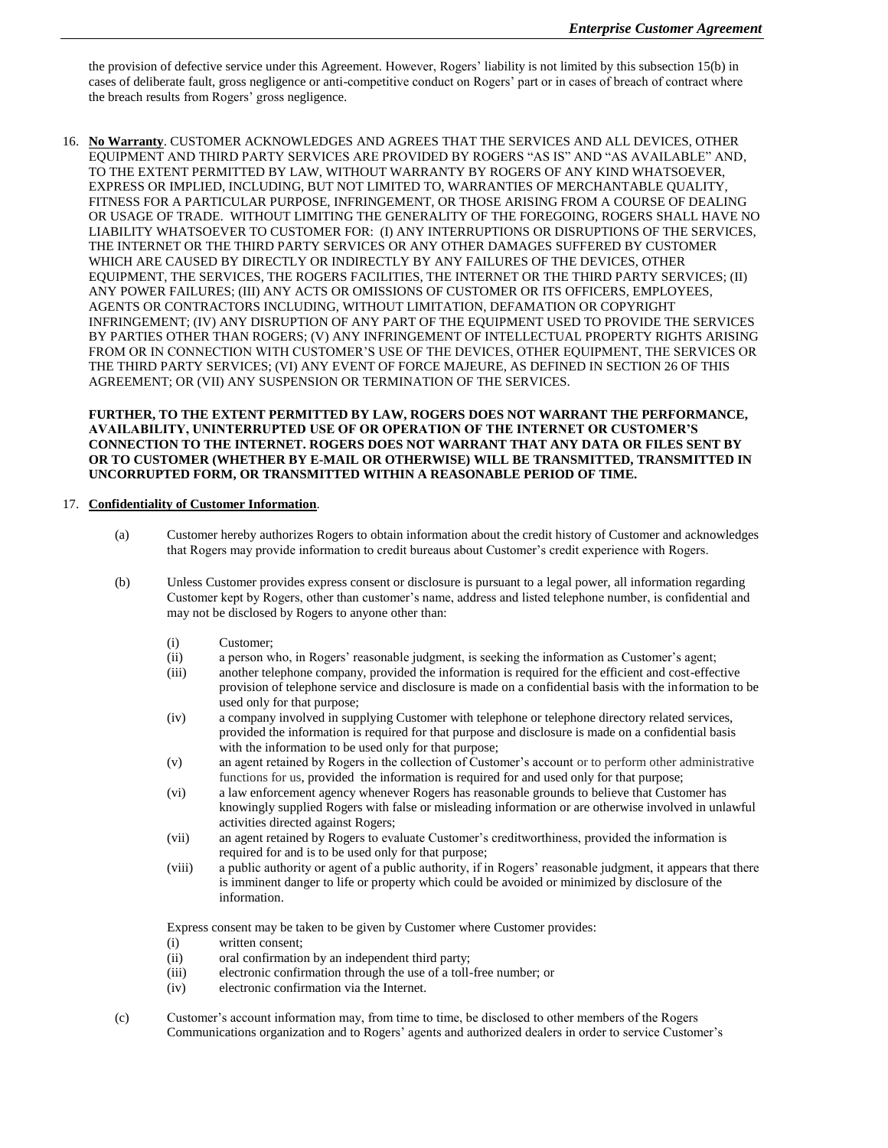the provision of defective service under this Agreement. However, Rogers' liability is not limited by this subsection 15(b) in cases of deliberate fault, gross negligence or anti-competitive conduct on Rogers' part or in cases of breach of contract where the breach results from Rogers' gross negligence.

16. **No Warranty**. CUSTOMER ACKNOWLEDGES AND AGREES THAT THE SERVICES AND ALL DEVICES, OTHER EQUIPMENT AND THIRD PARTY SERVICES ARE PROVIDED BY ROGERS "AS IS" AND "AS AVAILABLE" AND, TO THE EXTENT PERMITTED BY LAW, WITHOUT WARRANTY BY ROGERS OF ANY KIND WHATSOEVER, EXPRESS OR IMPLIED, INCLUDING, BUT NOT LIMITED TO, WARRANTIES OF MERCHANTABLE QUALITY, FITNESS FOR A PARTICULAR PURPOSE, INFRINGEMENT, OR THOSE ARISING FROM A COURSE OF DEALING OR USAGE OF TRADE. WITHOUT LIMITING THE GENERALITY OF THE FOREGOING, ROGERS SHALL HAVE NO LIABILITY WHATSOEVER TO CUSTOMER FOR: (I) ANY INTERRUPTIONS OR DISRUPTIONS OF THE SERVICES, THE INTERNET OR THE THIRD PARTY SERVICES OR ANY OTHER DAMAGES SUFFERED BY CUSTOMER WHICH ARE CAUSED BY DIRECTLY OR INDIRECTLY BY ANY FAILURES OF THE DEVICES, OTHER EQUIPMENT, THE SERVICES, THE ROGERS FACILITIES, THE INTERNET OR THE THIRD PARTY SERVICES; (II) ANY POWER FAILURES; (III) ANY ACTS OR OMISSIONS OF CUSTOMER OR ITS OFFICERS, EMPLOYEES, AGENTS OR CONTRACTORS INCLUDING, WITHOUT LIMITATION, DEFAMATION OR COPYRIGHT INFRINGEMENT; (IV) ANY DISRUPTION OF ANY PART OF THE EQUIPMENT USED TO PROVIDE THE SERVICES BY PARTIES OTHER THAN ROGERS; (V) ANY INFRINGEMENT OF INTELLECTUAL PROPERTY RIGHTS ARISING FROM OR IN CONNECTION WITH CUSTOMER'S USE OF THE DEVICES, OTHER EQUIPMENT, THE SERVICES OR THE THIRD PARTY SERVICES; (VI) ANY EVENT OF FORCE MAJEURE, AS DEFINED IN SECTION 26 OF THIS AGREEMENT; OR (VII) ANY SUSPENSION OR TERMINATION OF THE SERVICES.

**FURTHER, TO THE EXTENT PERMITTED BY LAW, ROGERS DOES NOT WARRANT THE PERFORMANCE, AVAILABILITY, UNINTERRUPTED USE OF OR OPERATION OF THE INTERNET OR CUSTOMER'S CONNECTION TO THE INTERNET. ROGERS DOES NOT WARRANT THAT ANY DATA OR FILES SENT BY OR TO CUSTOMER (WHETHER BY E-MAIL OR OTHERWISE) WILL BE TRANSMITTED, TRANSMITTED IN UNCORRUPTED FORM, OR TRANSMITTED WITHIN A REASONABLE PERIOD OF TIME.** 

## 17. **Confidentiality of Customer Information**.

- (a) Customer hereby authorizes Rogers to obtain information about the credit history of Customer and acknowledges that Rogers may provide information to credit bureaus about Customer's credit experience with Rogers.
- (b) Unless Customer provides express consent or disclosure is pursuant to a legal power, all information regarding Customer kept by Rogers, other than customer's name, address and listed telephone number, is confidential and may not be disclosed by Rogers to anyone other than:
	- (i) Customer;
	- (ii) a person who, in Rogers' reasonable judgment, is seeking the information as Customer's agent;
	- (iii) another telephone company, provided the information is required for the efficient and cost-effective provision of telephone service and disclosure is made on a confidential basis with the information to be used only for that purpose;
	- (iv) a company involved in supplying Customer with telephone or telephone directory related services, provided the information is required for that purpose and disclosure is made on a confidential basis with the information to be used only for that purpose;
	- (v) an agent retained by Rogers in the collection of Customer's account or to perform other administrative functions for us, provided the information is required for and used only for that purpose;
	- (vi) a law enforcement agency whenever Rogers has reasonable grounds to believe that Customer has knowingly supplied Rogers with false or misleading information or are otherwise involved in unlawful activities directed against Rogers;
	- (vii) an agent retained by Rogers to evaluate Customer's creditworthiness, provided the information is required for and is to be used only for that purpose;
	- (viii) a public authority or agent of a public authority, if in Rogers' reasonable judgment, it appears that there is imminent danger to life or property which could be avoided or minimized by disclosure of the information.

Express consent may be taken to be given by Customer where Customer provides:

- (i) written consent;
- (ii) oral confirmation by an independent third party;
- (iii) electronic confirmation through the use of a toll-free number; or
- (iv) electronic confirmation via the Internet.
- (c) Customer's account information may, from time to time, be disclosed to other members of the Rogers Communications organization and to Rogers' agents and authorized dealers in order to service Customer's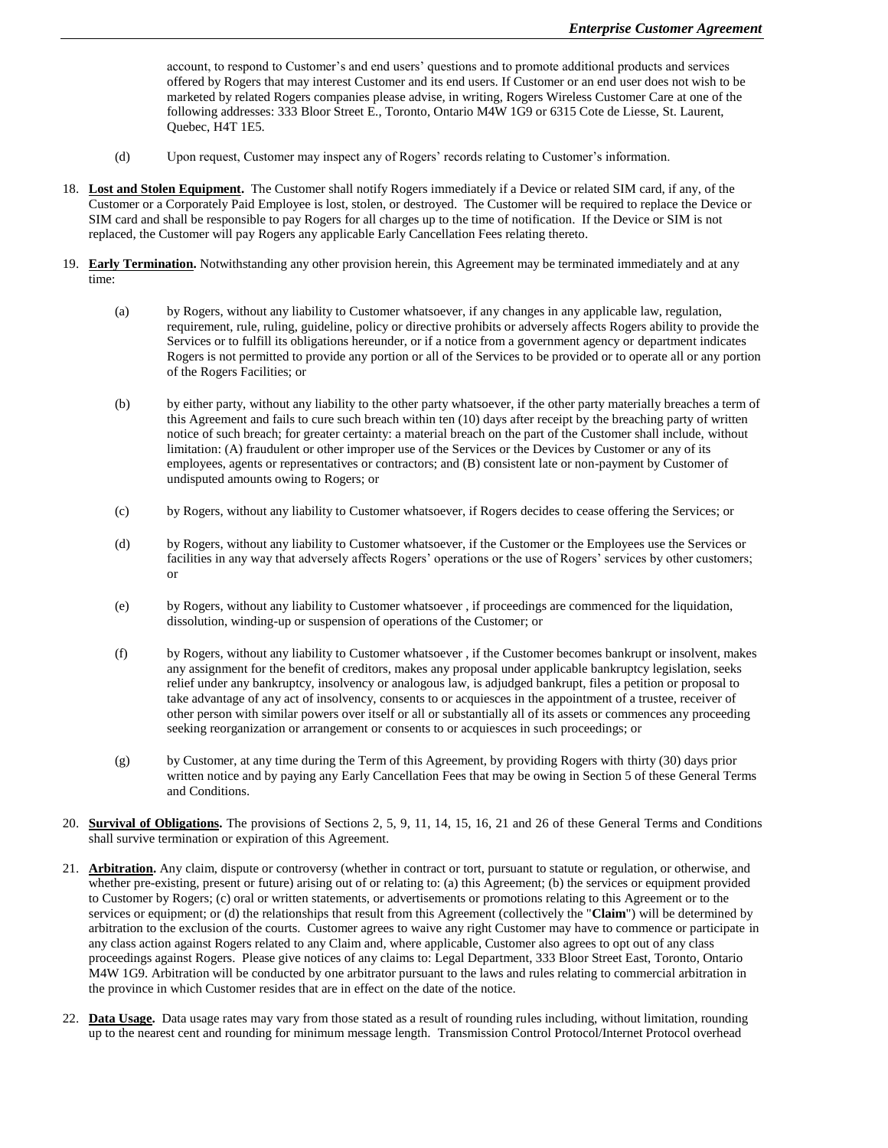account, to respond to Customer's and end users' questions and to promote additional products and services offered by Rogers that may interest Customer and its end users. If Customer or an end user does not wish to be marketed by related Rogers companies please advise, in writing, Rogers Wireless Customer Care at one of the following addresses: 333 Bloor Street E., Toronto, Ontario M4W 1G9 or 6315 Cote de Liesse, St. Laurent, Quebec, H4T 1E5.

- (d) Upon request, Customer may inspect any of Rogers' records relating to Customer's information.
- 18. **Lost and Stolen Equipment.** The Customer shall notify Rogers immediately if a Device or related SIM card, if any, of the Customer or a Corporately Paid Employee is lost, stolen, or destroyed. The Customer will be required to replace the Device or SIM card and shall be responsible to pay Rogers for all charges up to the time of notification. If the Device or SIM is not replaced, the Customer will pay Rogers any applicable Early Cancellation Fees relating thereto.
- 19. **Early Termination.** Notwithstanding any other provision herein, this Agreement may be terminated immediately and at any time:
	- (a) by Rogers, without any liability to Customer whatsoever, if any changes in any applicable law, regulation, requirement, rule, ruling, guideline, policy or directive prohibits or adversely affects Rogers ability to provide the Services or to fulfill its obligations hereunder, or if a notice from a government agency or department indicates Rogers is not permitted to provide any portion or all of the Services to be provided or to operate all or any portion of the Rogers Facilities; or
	- (b) by either party, without any liability to the other party whatsoever, if the other party materially breaches a term of this Agreement and fails to cure such breach within ten (10) days after receipt by the breaching party of written notice of such breach; for greater certainty: a material breach on the part of the Customer shall include, without limitation: (A) fraudulent or other improper use of the Services or the Devices by Customer or any of its employees, agents or representatives or contractors; and (B) consistent late or non-payment by Customer of undisputed amounts owing to Rogers; or
	- (c) by Rogers, without any liability to Customer whatsoever, if Rogers decides to cease offering the Services; or
	- (d) by Rogers, without any liability to Customer whatsoever, if the Customer or the Employees use the Services or facilities in any way that adversely affects Rogers' operations or the use of Rogers' services by other customers; or
	- (e) by Rogers, without any liability to Customer whatsoever , if proceedings are commenced for the liquidation, dissolution, winding-up or suspension of operations of the Customer; or
	- (f) by Rogers, without any liability to Customer whatsoever , if the Customer becomes bankrupt or insolvent, makes any assignment for the benefit of creditors, makes any proposal under applicable bankruptcy legislation, seeks relief under any bankruptcy, insolvency or analogous law, is adjudged bankrupt, files a petition or proposal to take advantage of any act of insolvency, consents to or acquiesces in the appointment of a trustee, receiver of other person with similar powers over itself or all or substantially all of its assets or commences any proceeding seeking reorganization or arrangement or consents to or acquiesces in such proceedings; or
	- (g) by Customer, at any time during the Term of this Agreement, by providing Rogers with thirty (30) days prior written notice and by paying any Early Cancellation Fees that may be owing in Section 5 of these General Terms and Conditions.
- 20. **Survival of Obligations.** The provisions of Sections 2, 5, 9, 11, 14, 15, 16, 21 and 26 of these General Terms and Conditions shall survive termination or expiration of this Agreement.
- 21. **Arbitration.** Any claim, dispute or controversy (whether in contract or tort, pursuant to statute or regulation, or otherwise, and whether pre-existing, present or future) arising out of or relating to: (a) this Agreement; (b) the services or equipment provided to Customer by Rogers; (c) oral or written statements, or advertisements or promotions relating to this Agreement or to the services or equipment; or (d) the relationships that result from this Agreement (collectively the "**Claim**") will be determined by arbitration to the exclusion of the courts. Customer agrees to waive any right Customer may have to commence or participate in any class action against Rogers related to any Claim and, where applicable, Customer also agrees to opt out of any class proceedings against Rogers. Please give notices of any claims to: Legal Department, 333 Bloor Street East, Toronto, Ontario M4W 1G9. Arbitration will be conducted by one arbitrator pursuant to the laws and rules relating to commercial arbitration in the province in which Customer resides that are in effect on the date of the notice.
- 22. **Data Usage.**Data usage rates may vary from those stated as a result of rounding rules including, without limitation, rounding up to the nearest cent and rounding for minimum message length. Transmission Control Protocol/Internet Protocol overhead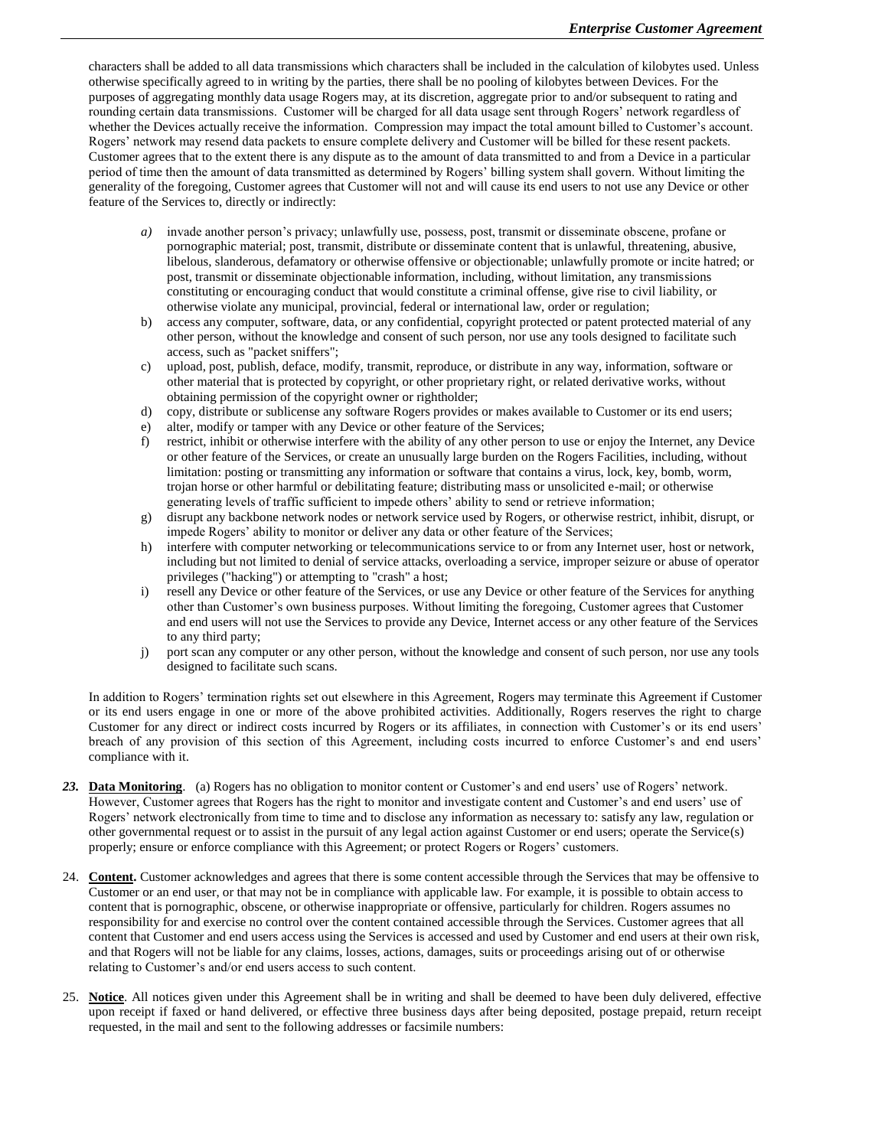characters shall be added to all data transmissions which characters shall be included in the calculation of kilobytes used. Unless otherwise specifically agreed to in writing by the parties, there shall be no pooling of kilobytes between Devices. For the purposes of aggregating monthly data usage Rogers may, at its discretion, aggregate prior to and/or subsequent to rating and rounding certain data transmissions. Customer will be charged for all data usage sent through Rogers' network regardless of whether the Devices actually receive the information. Compression may impact the total amount billed to Customer's account. Rogers' network may resend data packets to ensure complete delivery and Customer will be billed for these resent packets. Customer agrees that to the extent there is any dispute as to the amount of data transmitted to and from a Device in a particular period of time then the amount of data transmitted as determined by Rogers' billing system shall govern. Without limiting the generality of the foregoing, Customer agrees that Customer will not and will cause its end users to not use any Device or other feature of the Services to, directly or indirectly:

- *a)* invade another person's privacy; unlawfully use, possess, post, transmit or disseminate obscene, profane or pornographic material; post, transmit, distribute or disseminate content that is unlawful, threatening, abusive, libelous, slanderous, defamatory or otherwise offensive or objectionable; unlawfully promote or incite hatred; or post, transmit or disseminate objectionable information, including, without limitation, any transmissions constituting or encouraging conduct that would constitute a criminal offense, give rise to civil liability, or otherwise violate any municipal, provincial, federal or international law, order or regulation;
- b) access any computer, software, data, or any confidential, copyright protected or patent protected material of any other person, without the knowledge and consent of such person, nor use any tools designed to facilitate such access, such as "packet sniffers";
- c) upload, post, publish, deface, modify, transmit, reproduce, or distribute in any way, information, software or other material that is protected by copyright, or other proprietary right, or related derivative works, without obtaining permission of the copyright owner or rightholder;
- d) copy, distribute or sublicense any software Rogers provides or makes available to Customer or its end users;
- e) alter, modify or tamper with any Device or other feature of the Services;
- f) restrict, inhibit or otherwise interfere with the ability of any other person to use or enjoy the Internet, any Device or other feature of the Services, or create an unusually large burden on the Rogers Facilities, including, without limitation: posting or transmitting any information or software that contains a virus, lock, key, bomb, worm, trojan horse or other harmful or debilitating feature; distributing mass or unsolicited e-mail; or otherwise generating levels of traffic sufficient to impede others' ability to send or retrieve information;
- g) disrupt any backbone network nodes or network service used by Rogers, or otherwise restrict, inhibit, disrupt, or impede Rogers' ability to monitor or deliver any data or other feature of the Services;
- h) interfere with computer networking or telecommunications service to or from any Internet user, host or network, including but not limited to denial of service attacks, overloading a service, improper seizure or abuse of operator privileges ("hacking") or attempting to "crash" a host;
- i) resell any Device or other feature of the Services, or use any Device or other feature of the Services for anything other than Customer's own business purposes. Without limiting the foregoing, Customer agrees that Customer and end users will not use the Services to provide any Device, Internet access or any other feature of the Services to any third party;
- j) port scan any computer or any other person, without the knowledge and consent of such person, nor use any tools designed to facilitate such scans.

In addition to Rogers' termination rights set out elsewhere in this Agreement, Rogers may terminate this Agreement if Customer or its end users engage in one or more of the above prohibited activities. Additionally, Rogers reserves the right to charge Customer for any direct or indirect costs incurred by Rogers or its affiliates, in connection with Customer's or its end users' breach of any provision of this section of this Agreement, including costs incurred to enforce Customer's and end users' compliance with it.

- *23.* **Data Monitoring**. (a) Rogers has no obligation to monitor content or Customer's and end users' use of Rogers' network. However, Customer agrees that Rogers has the right to monitor and investigate content and Customer's and end users' use of Rogers' network electronically from time to time and to disclose any information as necessary to: satisfy any law, regulation or other governmental request or to assist in the pursuit of any legal action against Customer or end users; operate the Service(s) properly; ensure or enforce compliance with this Agreement; or protect Rogers or Rogers' customers.
- 24. **Content.** Customer acknowledges and agrees that there is some content accessible through the Services that may be offensive to Customer or an end user, or that may not be in compliance with applicable law. For example, it is possible to obtain access to content that is pornographic, obscene, or otherwise inappropriate or offensive, particularly for children. Rogers assumes no responsibility for and exercise no control over the content contained accessible through the Services. Customer agrees that all content that Customer and end users access using the Services is accessed and used by Customer and end users at their own risk, and that Rogers will not be liable for any claims, losses, actions, damages, suits or proceedings arising out of or otherwise relating to Customer's and/or end users access to such content.
- 25. **Notice**. All notices given under this Agreement shall be in writing and shall be deemed to have been duly delivered, effective upon receipt if faxed or hand delivered, or effective three business days after being deposited, postage prepaid, return receipt requested, in the mail and sent to the following addresses or facsimile numbers: